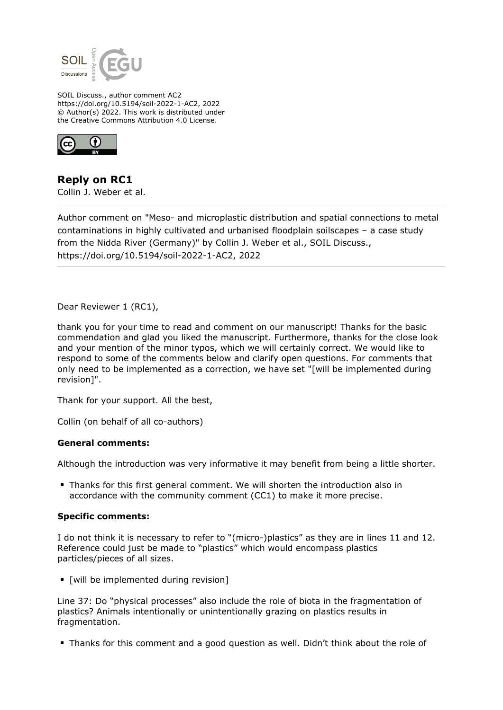

SOIL Discuss., author comment AC2 https://doi.org/10.5194/soil-2022-1-AC2, 2022 © Author(s) 2022. This work is distributed under the Creative Commons Attribution 4.0 License.



**Reply on RC1** Collin J. Weber et al.

Author comment on "Meso- and microplastic distribution and spatial connections to metal contaminations in highly cultivated and urbanised floodplain soilscapes – a case study from the Nidda River (Germany)" by Collin J. Weber et al., SOIL Discuss., https://doi.org/10.5194/soil-2022-1-AC2, 2022

Dear Reviewer 1 (RC1),

thank you for your time to read and comment on our manuscript! Thanks for the basic commendation and glad you liked the manuscript. Furthermore, thanks for the close look and your mention of the minor typos, which we will certainly correct. We would like to respond to some of the comments below and clarify open questions. For comments that only need to be implemented as a correction, we have set "[will be implemented during revision]".

Thank for your support. All the best,

Collin (on behalf of all co-authors)

## **General comments:**

Although the introduction was very informative it may benefit from being a little shorter.

Thanks for this first general comment. We will shorten the introduction also in accordance with the community comment (CC1) to make it more precise.

## **Specific comments:**

I do not think it is necessary to refer to "(micro-)plastics" as they are in lines 11 and 12. Reference could just be made to "plastics" which would encompass plastics particles/pieces of all sizes.

**•** [will be implemented during revision]

Line 37: Do "physical processes" also include the role of biota in the fragmentation of plastics? Animals intentionally or unintentionally grazing on plastics results in fragmentation.

Thanks for this comment and a good question as well. Didn't think about the role of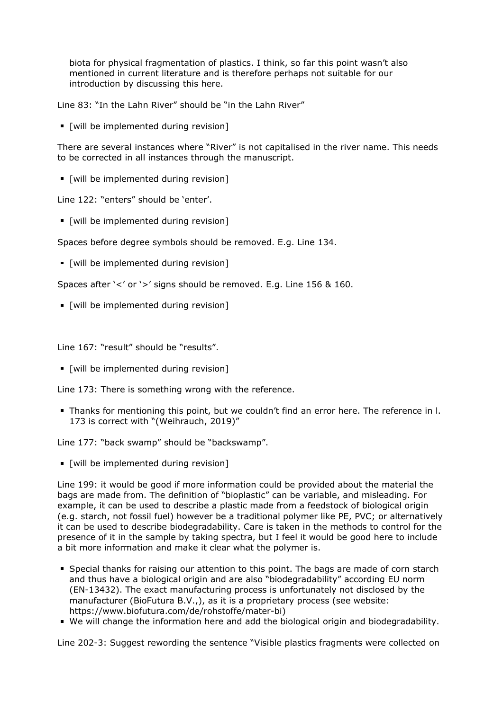biota for physical fragmentation of plastics. I think, so far this point wasn't also mentioned in current literature and is therefore perhaps not suitable for our introduction by discussing this here.

Line 83: "In the Lahn River" should be "in the Lahn River"

**•** [will be implemented during revision]

There are several instances where "River" is not capitalised in the river name. This needs to be corrected in all instances through the manuscript.

[will be implemented during revision]

Line 122: "enters" should be 'enter'.

**If your limilar in Twill be implemented during revision**]

Spaces before degree symbols should be removed. E.g. Line 134.

**[will be implemented during revision]** 

Spaces after '<' or '>' signs should be removed. E.g. Line 156 & 160.

[will be implemented during revision]

Line 167: "result" should be "results".

[will be implemented during revision]

Line 173: There is something wrong with the reference.

Thanks for mentioning this point, but we couldn't find an error here. The reference in l. 173 is correct with "(Weihrauch, 2019)"

Line 177: "back swamp" should be "backswamp".

 $\blacksquare$  [will be implemented during revision]

Line 199: it would be good if more information could be provided about the material the bags are made from. The definition of "bioplastic" can be variable, and misleading. For example, it can be used to describe a plastic made from a feedstock of biological origin (e.g. starch, not fossil fuel) however be a traditional polymer like PE, PVC; or alternatively it can be used to describe biodegradability. Care is taken in the methods to control for the presence of it in the sample by taking spectra, but I feel it would be good here to include a bit more information and make it clear what the polymer is.

- Special thanks for raising our attention to this point. The bags are made of corn starch and thus have a biological origin and are also "biodegradability" according EU norm (EN-13432). The exact manufacturing process is unfortunately not disclosed by the manufacturer (BioFutura B.V.,), as it is a proprietary process (see website: https://www.biofutura.com/de/rohstoffe/mater-bi)
- We will change the information here and add the biological origin and biodegradability.

Line 202-3: Suggest rewording the sentence "Visible plastics fragments were collected on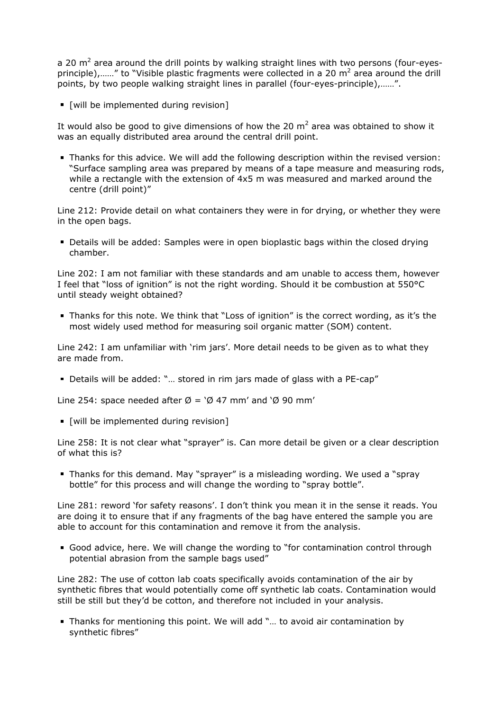a 20 m<sup>2</sup> area around the drill points by walking straight lines with two persons (four-eyesprinciple),......" to "Visible plastic fragments were collected in a 20 m<sup>2</sup> area around the drill points, by two people walking straight lines in parallel (four-eyes-principle),……".

[will be implemented during revision]

It would also be good to give dimensions of how the 20  $m^2$  area was obtained to show it was an equally distributed area around the central drill point.

Thanks for this advice. We will add the following description within the revised version: "Surface sampling area was prepared by means of a tape measure and measuring rods, while a rectangle with the extension of 4x5 m was measured and marked around the centre (drill point)"

Line 212: Provide detail on what containers they were in for drying, or whether they were in the open bags.

Details will be added: Samples were in open bioplastic bags within the closed drying chamber.

Line 202: I am not familiar with these standards and am unable to access them, however I feel that "loss of ignition" is not the right wording. Should it be combustion at 550°C until steady weight obtained?

Thanks for this note. We think that "Loss of ignition" is the correct wording, as it's the most widely used method for measuring soil organic matter (SOM) content.

Line 242: I am unfamiliar with 'rim jars'. More detail needs to be given as to what they are made from.

Details will be added: "… stored in rim jars made of glass with a PE-cap"

Line 254: space needed after  $\varnothing$  = ' $\varnothing$  47 mm' and ' $\varnothing$  90 mm'

**[will be implemented during revision]** 

Line 258: It is not clear what "sprayer" is. Can more detail be given or a clear description of what this is?

Thanks for this demand. May "sprayer" is a misleading wording. We used a "spray bottle" for this process and will change the wording to "spray bottle".

Line 281: reword 'for safety reasons'. I don't think you mean it in the sense it reads. You are doing it to ensure that if any fragments of the bag have entered the sample you are able to account for this contamination and remove it from the analysis.

Good advice, here. We will change the wording to "for contamination control through potential abrasion from the sample bags used"

Line 282: The use of cotton lab coats specifically avoids contamination of the air by synthetic fibres that would potentially come off synthetic lab coats. Contamination would still be still but they'd be cotton, and therefore not included in your analysis.

Thanks for mentioning this point. We will add "… to avoid air contamination by synthetic fibres"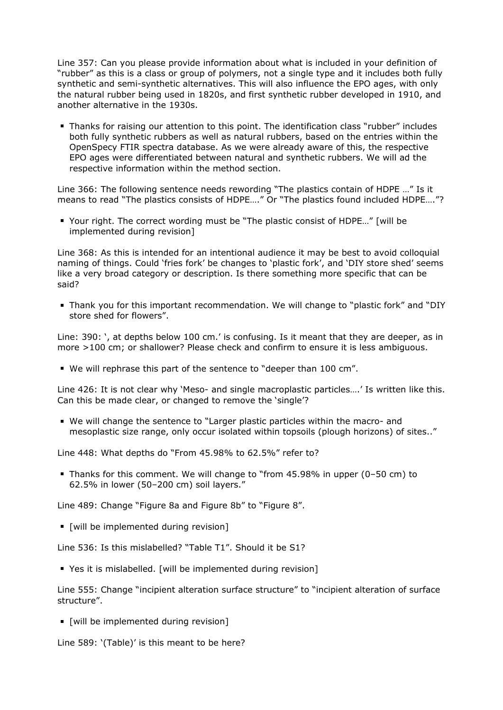Line 357: Can you please provide information about what is included in your definition of "rubber" as this is a class or group of polymers, not a single type and it includes both fully synthetic and semi-synthetic alternatives. This will also influence the EPO ages, with only the natural rubber being used in 1820s, and first synthetic rubber developed in 1910, and another alternative in the 1930s.

Thanks for raising our attention to this point. The identification class "rubber" includes both fully synthetic rubbers as well as natural rubbers, based on the entries within the OpenSpecy FTIR spectra database. As we were already aware of this, the respective EPO ages were differentiated between natural and synthetic rubbers. We will ad the respective information within the method section.

Line 366: The following sentence needs rewording "The plastics contain of HDPE …" Is it means to read "The plastics consists of HDPE…." Or "The plastics found included HDPE…."?

■ Your right. The correct wording must be "The plastic consist of HDPE..." [will be implemented during revision]

Line 368: As this is intended for an intentional audience it may be best to avoid colloquial naming of things. Could 'fries fork' be changes to 'plastic fork', and 'DIY store shed' seems like a very broad category or description. Is there something more specific that can be said?

Thank you for this important recommendation. We will change to "plastic fork" and "DIY store shed for flowers".

Line: 390: ', at depths below 100 cm.' is confusing. Is it meant that they are deeper, as in more >100 cm; or shallower? Please check and confirm to ensure it is less ambiguous.

We will rephrase this part of the sentence to "deeper than 100 cm".

Line 426: It is not clear why 'Meso- and single macroplastic particles….' Is written like this. Can this be made clear, or changed to remove the 'single'?

We will change the sentence to "Larger plastic particles within the macro- and mesoplastic size range, only occur isolated within topsoils (plough horizons) of sites.."

Line 448: What depths do "From 45.98% to 62.5%" refer to?

Thanks for this comment. We will change to "from 45.98% in upper (0–50 cm) to 62.5% in lower (50–200 cm) soil layers."

Line 489: Change "Figure 8a and Figure 8b" to "Figure 8".

[will be implemented during revision]

Line 536: Is this mislabelled? "Table T1". Should it be S1?

Yes it is mislabelled. [will be implemented during revision]

Line 555: Change "incipient alteration surface structure" to "incipient alteration of surface structure".

[will be implemented during revision]

Line 589: '(Table)' is this meant to be here?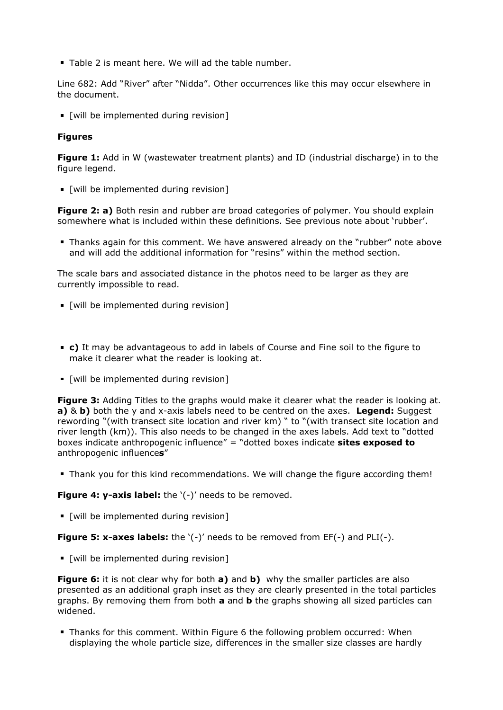**Table 2 is meant here. We will ad the table number.** 

Line 682: Add "River" after "Nidda". Other occurrences like this may occur elsewhere in the document.

**[will be implemented during revision]** 

## **Figures**

**Figure 1:** Add in W (wastewater treatment plants) and ID (industrial discharge) in to the figure legend.

**[will be implemented during revision]** 

**Figure 2: a)** Both resin and rubber are broad categories of polymer. You should explain somewhere what is included within these definitions. See previous note about 'rubber'.

Thanks again for this comment. We have answered already on the "rubber" note above and will add the additional information for "resins" within the method section.

The scale bars and associated distance in the photos need to be larger as they are currently impossible to read.

- [will be implemented during revision]
- **c)** It may be advantageous to add in labels of Course and Fine soil to the figure to make it clearer what the reader is looking at.
- [will be implemented during revision]

**Figure 3:** Adding Titles to the graphs would make it clearer what the reader is looking at. **a)** & **b)** both the y and x-axis labels need to be centred on the axes. **Legend:** Suggest rewording "(with transect site location and river km) " to "(with transect site location and river length (km)). This also needs to be changed in the axes labels. Add text to "dotted boxes indicate anthropogenic influence" = "dotted boxes indicate **sites exposed to** anthropogenic influence**s**"

Thank you for this kind recommendations. We will change the figure according them!

**Figure 4: y-axis label:** the '(-)' needs to be removed.

[will be implemented during revision]

**Figure 5: x-axes labels:** the '(-)' needs to be removed from EF(-) and PLI(-).

[will be implemented during revision]

**Figure 6:** it is not clear why for both **a)** and **b)** why the smaller particles are also presented as an additional graph inset as they are clearly presented in the total particles graphs. By removing them from both **a** and **b** the graphs showing all sized particles can widened.

Thanks for this comment. Within Figure 6 the following problem occurred: When displaying the whole particle size, differences in the smaller size classes are hardly